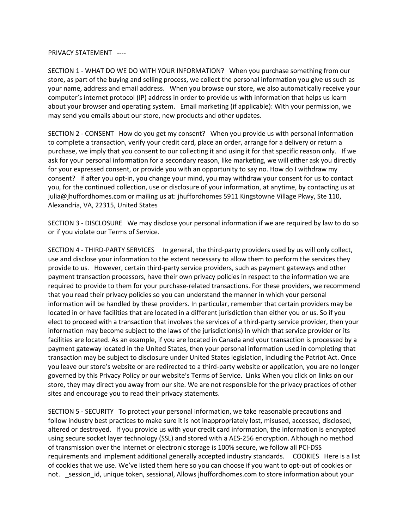PRIVACY STATEMENT ----

SECTION 1 - WHAT DO WE DO WITH YOUR INFORMATION? When you purchase something from our store, as part of the buying and selling process, we collect the personal information you give us such as your name, address and email address. When you browse our store, we also automatically receive your computer's internet protocol (IP) address in order to provide us with information that helps us learn about your browser and operating system. Email marketing (if applicable): With your permission, we may send you emails about our store, new products and other updates.

SECTION 2 - CONSENT How do you get my consent? When you provide us with personal information to complete a transaction, verify your credit card, place an order, arrange for a delivery or return a purchase, we imply that you consent to our collecting it and using it for that specific reason only. If we ask for your personal information for a secondary reason, like marketing, we will either ask you directly for your expressed consent, or provide you with an opportunity to say no. How do I withdraw my consent? If after you opt-in, you change your mind, you may withdraw your consent for us to contact you, for the continued collection, use or disclosure of your information, at anytime, by contacting us at julia@jhuffordhomes.com or mailing us at: jhuffordhomes 5911 Kingstowne Village Pkwy, Ste 110, Alexandria, VA, 22315, United States

SECTION 3 - DISCLOSURE We may disclose your personal information if we are required by law to do so or if you violate our Terms of Service.

SECTION 4 - THIRD-PARTY SERVICES In general, the third-party providers used by us will only collect, use and disclose your information to the extent necessary to allow them to perform the services they provide to us. However, certain third-party service providers, such as payment gateways and other payment transaction processors, have their own privacy policies in respect to the information we are required to provide to them for your purchase-related transactions. For these providers, we recommend that you read their privacy policies so you can understand the manner in which your personal information will be handled by these providers. In particular, remember that certain providers may be located in or have facilities that are located in a different jurisdiction than either you or us. So if you elect to proceed with a transaction that involves the services of a third-party service provider, then your information may become subject to the laws of the jurisdiction(s) in which that service provider or its facilities are located. As an example, if you are located in Canada and your transaction is processed by a payment gateway located in the United States, then your personal information used in completing that transaction may be subject to disclosure under United States legislation, including the Patriot Act. Once you leave our store's website or are redirected to a third-party website or application, you are no longer governed by this Privacy Policy or our website's Terms of Service. Links When you click on links on our store, they may direct you away from our site. We are not responsible for the privacy practices of other sites and encourage you to read their privacy statements.

SECTION 5 - SECURITY To protect your personal information, we take reasonable precautions and follow industry best practices to make sure it is not inappropriately lost, misused, accessed, disclosed, altered or destroyed. If you provide us with your credit card information, the information is encrypted using secure socket layer technology (SSL) and stored with a AES-256 encryption. Although no method of transmission over the Internet or electronic storage is 100% secure, we follow all PCI-DSS requirements and implement additional generally accepted industry standards. COOKIES Here is a list of cookies that we use. We've listed them here so you can choose if you want to opt-out of cookies or not. session id, unique token, sessional, Allows jhuffordhomes.com to store information about your